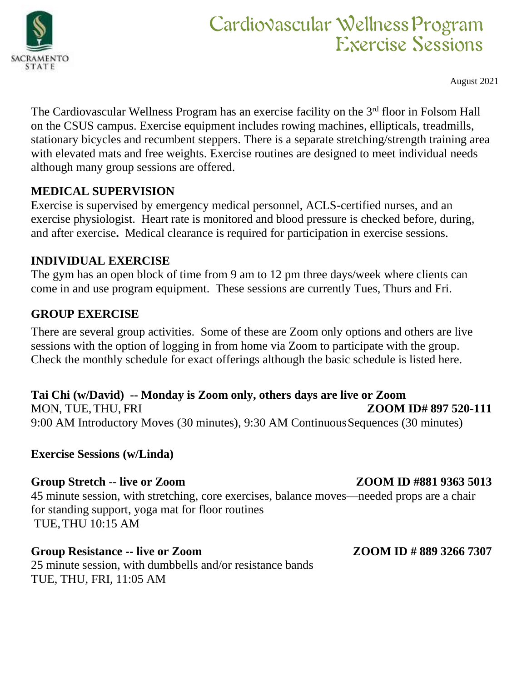

# Cardiovascular WellnessProgram Exercise Sessions

August 2021

The Cardiovascular Wellness Program has an exercise facility on the 3<sup>rd</sup> floor in Folsom Hall on the CSUS campus. Exercise equipment includes rowing machines, ellipticals, treadmills, stationary bicycles and recumbent steppers. There is a separate stretching/strength training area with elevated mats and free weights. Exercise routines are designed to meet individual needs although many group sessions are offered.

## **MEDICAL SUPERVISION**

Exercise is supervised by emergency medical personnel, ACLS-certified nurses, and an exercise physiologist. Heart rate is monitored and blood pressure is checked before, during, and after exercise**.** Medical clearance is required for participation in exercise sessions.

## **INDIVIDUAL EXERCISE**

The gym has an open block of time from 9 am to 12 pm three days/week where clients can come in and use program equipment. These sessions are currently Tues, Thurs and Fri.

# **GROUP EXERCISE**

There are several group activities. Some of these are Zoom only options and others are live sessions with the option of logging in from home via Zoom to participate with the group. Check the monthly schedule for exact offerings although the basic schedule is listed here.

### **Tai Chi (w/David) -- Monday is Zoom only, others days are live or Zoom** MON, TUE,THU, FRI **ZOOM ID# 897 520-111** 9:00 AM Introductory Moves (30 minutes), 9:30 AM ContinuousSequences (30 minutes)

**Exercise Sessions (w/Linda)**

# Group Stretch -- live or Zoom **ZOOM ID #881 9363 5013**

45 minute session, with stretching, core exercises, balance moves—needed props are a chair for standing support, yoga mat for floor routines TUE,THU 10:15 AM

### **Group Resistance -- live or Zoom ZOOM ID # 889 3266 7307** 25 minute session, with dumbbells and/or resistance bands TUE, THU, FRI, 11:05 AM